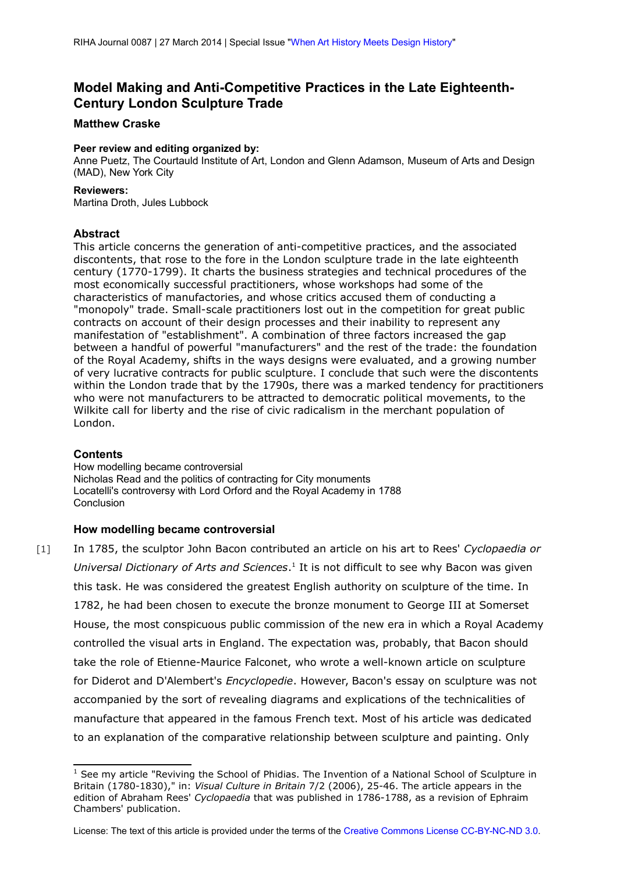# <span id="page-0-2"></span>**Model Making and Anti-Competitive Practices in the Late Eighteenth-Century London Sculpture Trade**

## **Matthew Craske**

#### **Peer review and editing organized by:**

Anne Puetz, The Courtauld Institute of Art, London and Glenn Adamson, Museum of Arts and Design (MAD), New York City

#### **Reviewers:**

Martina Droth, Jules Lubbock

### **Abstract**

This article concerns the generation of anti-competitive practices, and the associated discontents, that rose to the fore in the London sculpture trade in the late eighteenth century (1770-1799). It charts the business strategies and technical procedures of the most economically successful practitioners, whose workshops had some of the characteristics of manufactories, and whose critics accused them of conducting a "monopoly" trade. Small-scale practitioners lost out in the competition for great public contracts on account of their design processes and their inability to represent any manifestation of "establishment". A combination of three factors increased the gap between a handful of powerful "manufacturers" and the rest of the trade: the foundation of the Royal Academy, shifts in the ways designs were evaluated, and a growing number of very lucrative contracts for public sculpture. I conclude that such were the discontents within the London trade that by the 1790s, there was a marked tendency for practitioners who were not manufacturers to be attracted to democratic political movements, to the Wilkite call for liberty and the rise of civic radicalism in the merchant population of London.

### **Contents**

[How modelling became controversial](#page-0-0) [Nicholas Read and the politics of contracting for City monuments](#page-7-0) [Locatelli's controversy with Lord Orford and the Royal Academy in 1788](#page-17-0) **[Conclusion](#page-20-0)** 

### <span id="page-0-0"></span>**How modelling became controversial**

[1] In 1785, the sculptor John Bacon contributed an article on his art to Rees' *Cyclopaedia or* Universal Dictionary of Arts and Sciences.<sup>[1](#page-0-1)</sup> It is not difficult to see why Bacon was given this task. He was considered the greatest English authority on sculpture of the time. In 1782, he had been chosen to execute the bronze monument to George III at Somerset House, the most conspicuous public commission of the new era in which a Royal Academy controlled the visual arts in England. The expectation was, probably, that Bacon should take the role of Etienne-Maurice Falconet, who wrote a well-known article on sculpture for Diderot and D'Alembert's *Encyclopedie*. However, Bacon's essay on sculpture was not accompanied by the sort of revealing diagrams and explications of the technicalities of manufacture that appeared in the famous French text. Most of his article was dedicated to an explanation of the comparative relationship between sculpture and painting. Only

<span id="page-0-1"></span> $1$  See my article "Reviving the School of Phidias. The Invention of a National School of Sculpture in Britain (1780-1830)," in: *Visual Culture in Britain* 7/2 (2006), 25-46. The article appears in the edition of Abraham Rees' *Cyclopaedia* that was published in 1786-1788, as a revision of Ephraim Chambers' publication.

License: The text of this article is provided under the terms of the [Creative Commons License CC-BY-NC-ND 3.0.](http://creativecommons.org/licenses/by-nc-nd/3.0/de/deed.en)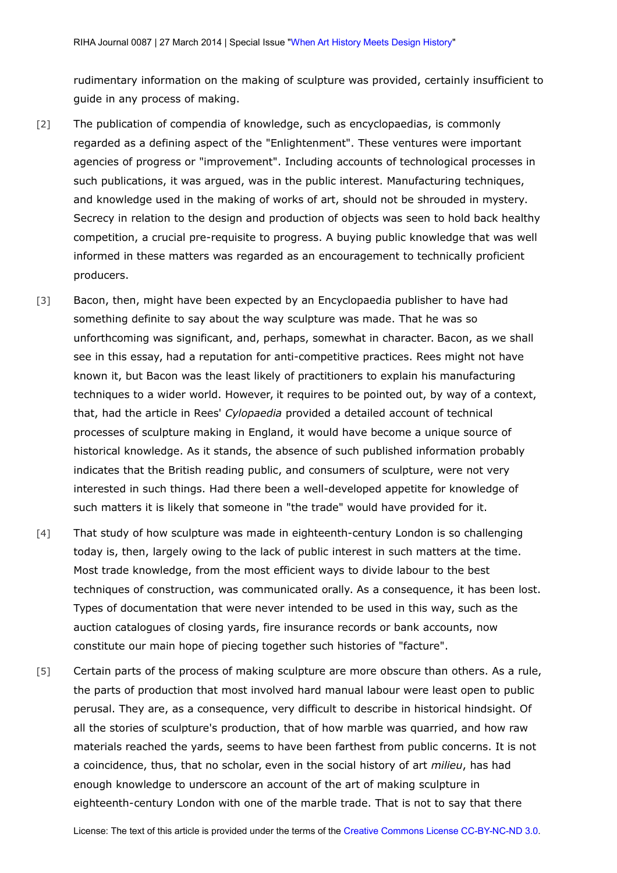rudimentary information on the making of sculpture was provided, certainly insufficient to guide in any process of making.

- [2] The publication of compendia of knowledge, such as encyclopaedias, is commonly regarded as a defining aspect of the "Enlightenment". These ventures were important agencies of progress or "improvement". Including accounts of technological processes in such publications, it was argued, was in the public interest. Manufacturing techniques, and knowledge used in the making of works of art, should not be shrouded in mystery. Secrecy in relation to the design and production of objects was seen to hold back healthy competition, a crucial pre-requisite to progress. A buying public knowledge that was well informed in these matters was regarded as an encouragement to technically proficient producers.
- [3] Bacon, then, might have been expected by an Encyclopaedia publisher to have had something definite to say about the way sculpture was made. That he was so unforthcoming was significant, and, perhaps, somewhat in character. Bacon, as we shall see in this essay, had a reputation for anti-competitive practices. Rees might not have known it, but Bacon was the least likely of practitioners to explain his manufacturing techniques to a wider world. However, it requires to be pointed out, by way of a context, that, had the article in Rees' *Cylopaedia* provided a detailed account of technical processes of sculpture making in England, it would have become a unique source of historical knowledge. As it stands, the absence of such published information probably indicates that the British reading public, and consumers of sculpture, were not very interested in such things. Had there been a well-developed appetite for knowledge of such matters it is likely that someone in "the trade" would have provided for it.
- [4] That study of how sculpture was made in eighteenth-century London is so challenging today is, then, largely owing to the lack of public interest in such matters at the time. Most trade knowledge, from the most efficient ways to divide labour to the best techniques of construction, was communicated orally. As a consequence, it has been lost. Types of documentation that were never intended to be used in this way, such as the auction catalogues of closing yards, fire insurance records or bank accounts, now constitute our main hope of piecing together such histories of "facture".
- [5] Certain parts of the process of making sculpture are more obscure than others. As a rule, the parts of production that most involved hard manual labour were least open to public perusal. They are, as a consequence, very difficult to describe in historical hindsight. Of all the stories of sculpture's production, that of how marble was quarried, and how raw materials reached the yards, seems to have been farthest from public concerns. It is not a coincidence, thus, that no scholar, even in the social history of art *milieu*, has had enough knowledge to underscore an account of the art of making sculpture in eighteenth-century London with one of the marble trade. That is not to say that there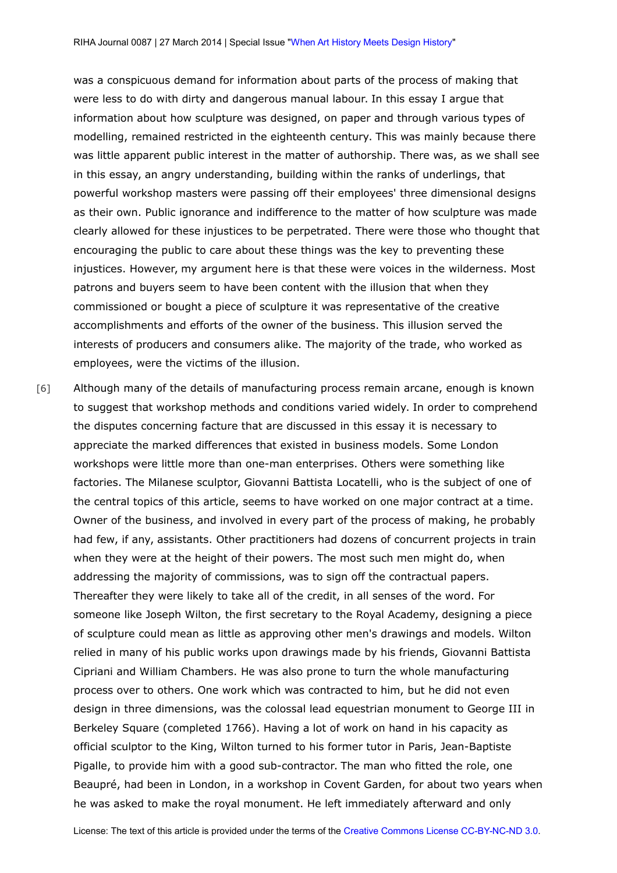was a conspicuous demand for information about parts of the process of making that were less to do with dirty and dangerous manual labour. In this essay I argue that information about how sculpture was designed, on paper and through various types of modelling, remained restricted in the eighteenth century. This was mainly because there was little apparent public interest in the matter of authorship. There was, as we shall see in this essay, an angry understanding, building within the ranks of underlings, that powerful workshop masters were passing off their employees' three dimensional designs as their own. Public ignorance and indifference to the matter of how sculpture was made clearly allowed for these injustices to be perpetrated. There were those who thought that encouraging the public to care about these things was the key to preventing these injustices. However, my argument here is that these were voices in the wilderness. Most patrons and buyers seem to have been content with the illusion that when they commissioned or bought a piece of sculpture it was representative of the creative accomplishments and efforts of the owner of the business. This illusion served the interests of producers and consumers alike. The majority of the trade, who worked as employees, were the victims of the illusion.

[6] Although many of the details of manufacturing process remain arcane, enough is known to suggest that workshop methods and conditions varied widely. In order to comprehend the disputes concerning facture that are discussed in this essay it is necessary to appreciate the marked differences that existed in business models. Some London workshops were little more than one-man enterprises. Others were something like factories. The Milanese sculptor, Giovanni Battista Locatelli, who is the subject of one of the central topics of this article, seems to have worked on one major contract at a time. Owner of the business, and involved in every part of the process of making, he probably had few, if any, assistants. Other practitioners had dozens of concurrent projects in train when they were at the height of their powers. The most such men might do, when addressing the majority of commissions, was to sign off the contractual papers. Thereafter they were likely to take all of the credit, in all senses of the word. For someone like Joseph Wilton, the first secretary to the Royal Academy, designing a piece of sculpture could mean as little as approving other men's drawings and models. Wilton relied in many of his public works upon drawings made by his friends, Giovanni Battista Cipriani and William Chambers. He was also prone to turn the whole manufacturing process over to others. One work which was contracted to him, but he did not even design in three dimensions, was the colossal lead equestrian monument to George III in Berkeley Square (completed 1766). Having a lot of work on hand in his capacity as official sculptor to the King, Wilton turned to his former tutor in Paris, Jean-Baptiste Pigalle, to provide him with a good sub-contractor. The man who fitted the role, one Beaupré, had been in London, in a workshop in Covent Garden, for about two years when he was asked to make the royal monument. He left immediately afterward and only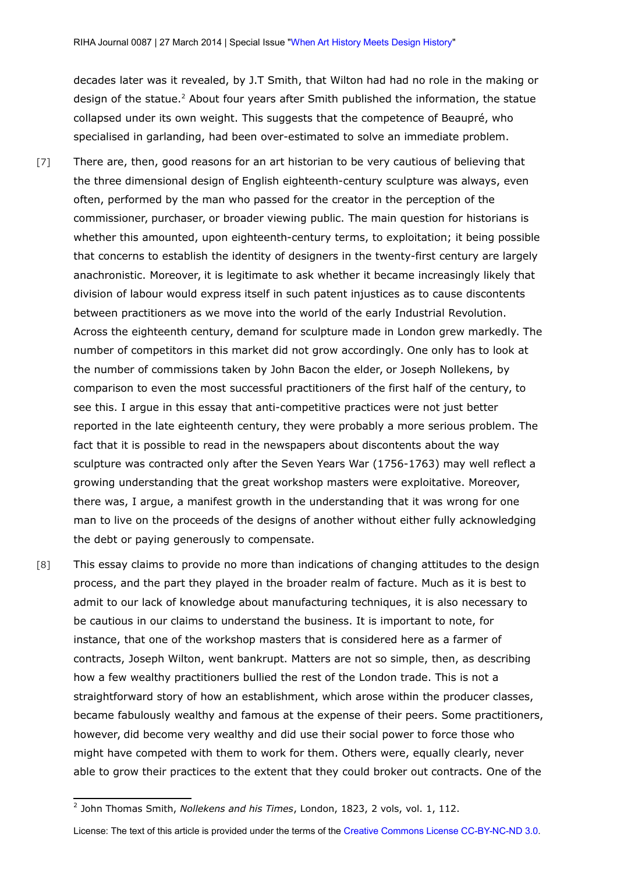decades later was it revealed, by J.T Smith, that Wilton had had no role in the making or design of the statue.<sup>[2](#page-3-0)</sup> About four years after Smith published the information, the statue collapsed under its own weight. This suggests that the competence of Beaupré, who specialised in garlanding, had been over-estimated to solve an immediate problem.

- [7] There are, then, good reasons for an art historian to be very cautious of believing that the three dimensional design of English eighteenth-century sculpture was always, even often, performed by the man who passed for the creator in the perception of the commissioner, purchaser, or broader viewing public. The main question for historians is whether this amounted, upon eighteenth-century terms, to exploitation; it being possible that concerns to establish the identity of designers in the twenty-first century are largely anachronistic. Moreover, it is legitimate to ask whether it became increasingly likely that division of labour would express itself in such patent injustices as to cause discontents between practitioners as we move into the world of the early Industrial Revolution. Across the eighteenth century, demand for sculpture made in London grew markedly. The number of competitors in this market did not grow accordingly. One only has to look at the number of commissions taken by John Bacon the elder, or Joseph Nollekens, by comparison to even the most successful practitioners of the first half of the century, to see this. I argue in this essay that anti-competitive practices were not just better reported in the late eighteenth century, they were probably a more serious problem. The fact that it is possible to read in the newspapers about discontents about the way sculpture was contracted only after the Seven Years War (1756-1763) may well reflect a growing understanding that the great workshop masters were exploitative. Moreover, there was, I argue, a manifest growth in the understanding that it was wrong for one man to live on the proceeds of the designs of another without either fully acknowledging the debt or paying generously to compensate.
- [8] This essay claims to provide no more than indications of changing attitudes to the design process, and the part they played in the broader realm of facture. Much as it is best to admit to our lack of knowledge about manufacturing techniques, it is also necessary to be cautious in our claims to understand the business. It is important to note, for instance, that one of the workshop masters that is considered here as a farmer of contracts, Joseph Wilton, went bankrupt. Matters are not so simple, then, as describing how a few wealthy practitioners bullied the rest of the London trade. This is not a straightforward story of how an establishment, which arose within the producer classes, became fabulously wealthy and famous at the expense of their peers. Some practitioners, however, did become very wealthy and did use their social power to force those who might have competed with them to work for them. Others were, equally clearly, never able to grow their practices to the extent that they could broker out contracts. One of the

<span id="page-3-0"></span><sup>2</sup> John Thomas Smith, *Nollekens and his Times*, London, 1823, 2 vols, vol. 1, 112.

License: The text of this article is provided under the terms of the [Creative Commons License CC-BY-NC-ND 3.0.](http://creativecommons.org/licenses/by-nc-nd/3.0/de/deed.en)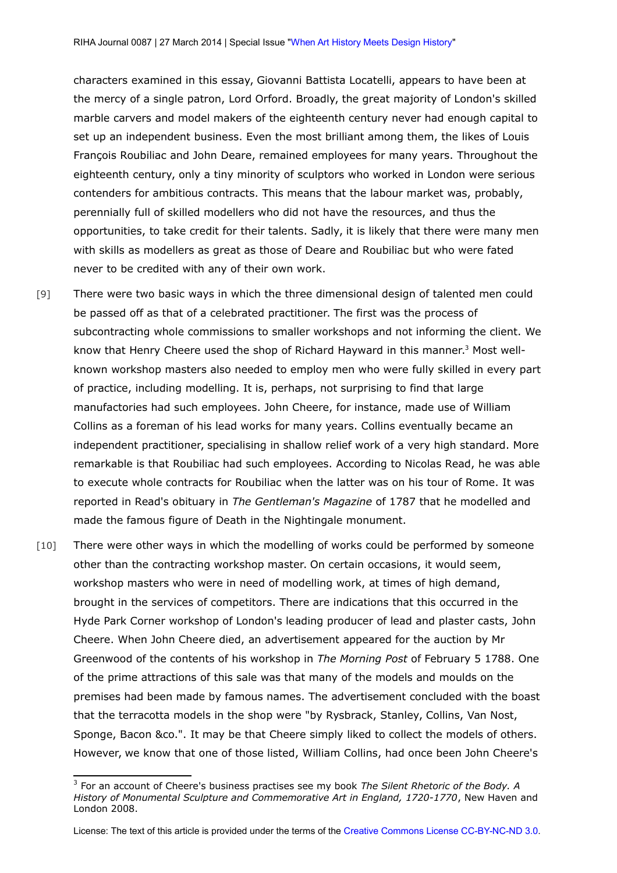characters examined in this essay, Giovanni Battista Locatelli, appears to have been at the mercy of a single patron, Lord Orford. Broadly, the great majority of London's skilled marble carvers and model makers of the eighteenth century never had enough capital to set up an independent business. Even the most brilliant among them, the likes of Louis François Roubiliac and John Deare, remained employees for many years. Throughout the eighteenth century, only a tiny minority of sculptors who worked in London were serious contenders for ambitious contracts. This means that the labour market was, probably, perennially full of skilled modellers who did not have the resources, and thus the opportunities, to take credit for their talents. Sadly, it is likely that there were many men with skills as modellers as great as those of Deare and Roubiliac but who were fated never to be credited with any of their own work.

- [9] There were two basic ways in which the three dimensional design of talented men could be passed off as that of a celebrated practitioner. The first was the process of subcontracting whole commissions to smaller workshops and not informing the client. We know that Henry Cheere used the shop of Richard Hayward in this manner.<sup>[3](#page-4-0)</sup> Most wellknown workshop masters also needed to employ men who were fully skilled in every part of practice, including modelling. It is, perhaps, not surprising to find that large manufactories had such employees. John Cheere, for instance, made use of William Collins as a foreman of his lead works for many years. Collins eventually became an independent practitioner, specialising in shallow relief work of a very high standard. More remarkable is that Roubiliac had such employees. According to Nicolas Read, he was able to execute whole contracts for Roubiliac when the latter was on his tour of Rome. It was reported in Read's obituary in *The Gentleman's Magazine* of 1787 that he modelled and made the famous figure of Death in the Nightingale monument.
- [10] There were other ways in which the modelling of works could be performed by someone other than the contracting workshop master. On certain occasions, it would seem, workshop masters who were in need of modelling work, at times of high demand, brought in the services of competitors. There are indications that this occurred in the Hyde Park Corner workshop of London's leading producer of lead and plaster casts, John Cheere. When John Cheere died, an advertisement appeared for the auction by Mr Greenwood of the contents of his workshop in *The Morning Post* of February 5 1788. One of the prime attractions of this sale was that many of the models and moulds on the premises had been made by famous names. The advertisement concluded with the boast that the terracotta models in the shop were "by Rysbrack, Stanley, Collins, Van Nost, Sponge, Bacon &co.". It may be that Cheere simply liked to collect the models of others. However, we know that one of those listed, William Collins, had once been John Cheere's

<span id="page-4-0"></span><sup>3</sup> For an account of Cheere's business practises see my book *The Silent Rhetoric of the Body. A History of Monumental Sculpture and Commemorative Art in England, 1720-1770*, New Haven and London 2008.

License: The text of this article is provided under the terms of the [Creative Commons License CC-BY-NC-ND 3.0.](http://creativecommons.org/licenses/by-nc-nd/3.0/de/deed.en)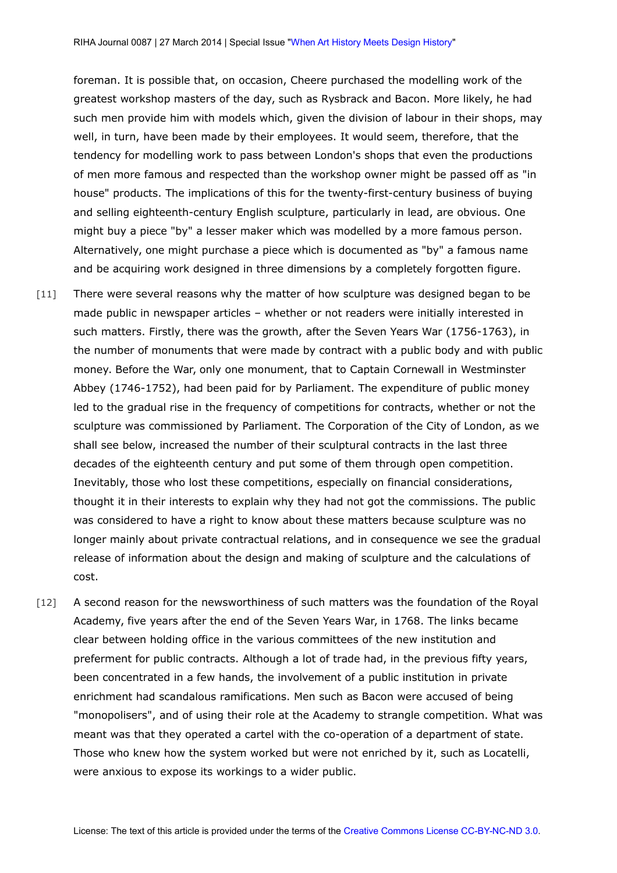foreman. It is possible that, on occasion, Cheere purchased the modelling work of the greatest workshop masters of the day, such as Rysbrack and Bacon. More likely, he had such men provide him with models which, given the division of labour in their shops, may well, in turn, have been made by their employees. It would seem, therefore, that the tendency for modelling work to pass between London's shops that even the productions of men more famous and respected than the workshop owner might be passed off as "in house" products. The implications of this for the twenty-first-century business of buying and selling eighteenth-century English sculpture, particularly in lead, are obvious. One might buy a piece "by" a lesser maker which was modelled by a more famous person. Alternatively, one might purchase a piece which is documented as "by" a famous name and be acquiring work designed in three dimensions by a completely forgotten figure.

- [11] There were several reasons why the matter of how sculpture was designed began to be made public in newspaper articles – whether or not readers were initially interested in such matters. Firstly, there was the growth, after the Seven Years War (1756-1763), in the number of monuments that were made by contract with a public body and with public money. Before the War, only one monument, that to Captain Cornewall in Westminster Abbey (1746-1752), had been paid for by Parliament. The expenditure of public money led to the gradual rise in the frequency of competitions for contracts, whether or not the sculpture was commissioned by Parliament. The Corporation of the City of London, as we shall see below, increased the number of their sculptural contracts in the last three decades of the eighteenth century and put some of them through open competition. Inevitably, those who lost these competitions, especially on financial considerations, thought it in their interests to explain why they had not got the commissions. The public was considered to have a right to know about these matters because sculpture was no longer mainly about private contractual relations, and in consequence we see the gradual release of information about the design and making of sculpture and the calculations of cost.
- [12] A second reason for the newsworthiness of such matters was the foundation of the Royal Academy, five years after the end of the Seven Years War, in 1768. The links became clear between holding office in the various committees of the new institution and preferment for public contracts. Although a lot of trade had, in the previous fifty years, been concentrated in a few hands, the involvement of a public institution in private enrichment had scandalous ramifications. Men such as Bacon were accused of being "monopolisers", and of using their role at the Academy to strangle competition. What was meant was that they operated a cartel with the co-operation of a department of state. Those who knew how the system worked but were not enriched by it, such as Locatelli, were anxious to expose its workings to a wider public.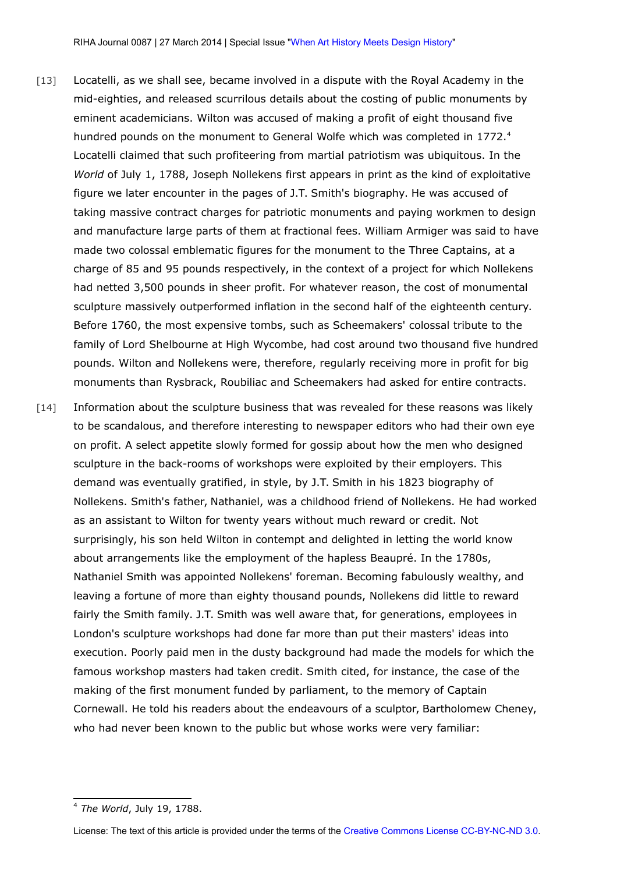- [13] Locatelli, as we shall see, became involved in a dispute with the Royal Academy in the mid-eighties, and released scurrilous details about the costing of public monuments by eminent academicians. Wilton was accused of making a profit of eight thousand five hundred pounds on the monument to General Wolfe which was completed in 1772.<sup>[4](#page-6-0)</sup> Locatelli claimed that such profiteering from martial patriotism was ubiquitous. In the *World* of July 1, 1788, Joseph Nollekens first appears in print as the kind of exploitative figure we later encounter in the pages of J.T. Smith's biography. He was accused of taking massive contract charges for patriotic monuments and paying workmen to design and manufacture large parts of them at fractional fees. William Armiger was said to have made two colossal emblematic figures for the monument to the Three Captains, at a charge of 85 and 95 pounds respectively, in the context of a project for which Nollekens had netted 3,500 pounds in sheer profit. For whatever reason, the cost of monumental sculpture massively outperformed inflation in the second half of the eighteenth century. Before 1760, the most expensive tombs, such as Scheemakers' colossal tribute to the family of Lord Shelbourne at High Wycombe, had cost around two thousand five hundred pounds. Wilton and Nollekens were, therefore, regularly receiving more in profit for big monuments than Rysbrack, Roubiliac and Scheemakers had asked for entire contracts.
- [14] Information about the sculpture business that was revealed for these reasons was likely to be scandalous, and therefore interesting to newspaper editors who had their own eye on profit. A select appetite slowly formed for gossip about how the men who designed sculpture in the back-rooms of workshops were exploited by their employers. This demand was eventually gratified, in style, by J.T. Smith in his 1823 biography of Nollekens. Smith's father, Nathaniel, was a childhood friend of Nollekens. He had worked as an assistant to Wilton for twenty years without much reward or credit. Not surprisingly, his son held Wilton in contempt and delighted in letting the world know about arrangements like the employment of the hapless Beaupré. In the 1780s, Nathaniel Smith was appointed Nollekens' foreman. Becoming fabulously wealthy, and leaving a fortune of more than eighty thousand pounds, Nollekens did little to reward fairly the Smith family. J.T. Smith was well aware that, for generations, employees in London's sculpture workshops had done far more than put their masters' ideas into execution. Poorly paid men in the dusty background had made the models for which the famous workshop masters had taken credit. Smith cited, for instance, the case of the making of the first monument funded by parliament, to the memory of Captain Cornewall. He told his readers about the endeavours of a sculptor, Bartholomew Cheney, who had never been known to the public but whose works were very familiar:

<span id="page-6-0"></span><sup>4</sup> *The World*, July 19, 1788.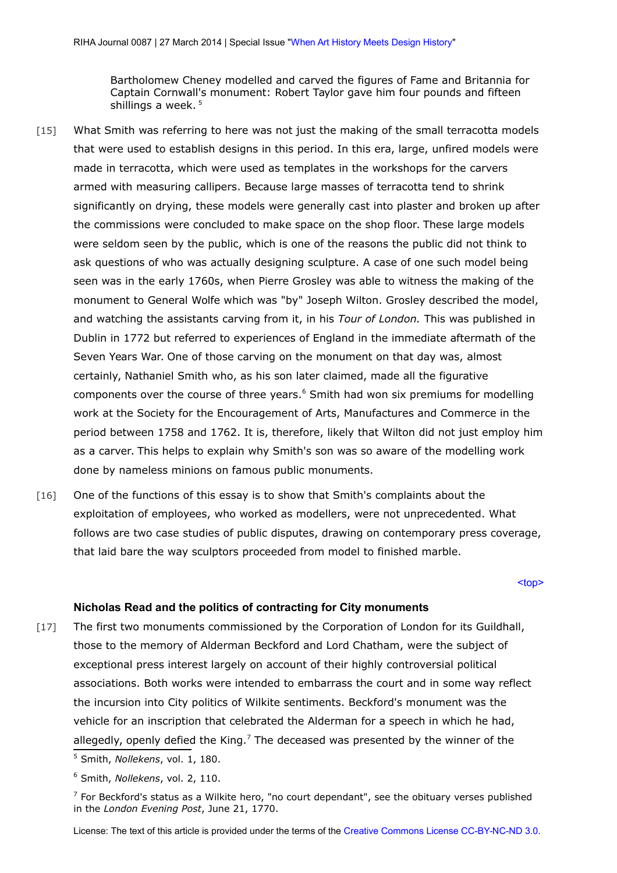Bartholomew Cheney modelled and carved the figures of Fame and Britannia for Captain Cornwall's monument: Robert Taylor gave him four pounds and fifteen shillings a week.<sup>[5](#page-7-1)</sup>

- [15] What Smith was referring to here was not just the making of the small terracotta models that were used to establish designs in this period. In this era, large, unfired models were made in terracotta, which were used as templates in the workshops for the carvers armed with measuring callipers. Because large masses of terracotta tend to shrink significantly on drying, these models were generally cast into plaster and broken up after the commissions were concluded to make space on the shop floor. These large models were seldom seen by the public, which is one of the reasons the public did not think to ask questions of who was actually designing sculpture. A case of one such model being seen was in the early 1760s, when Pierre Grosley was able to witness the making of the monument to General Wolfe which was "by" Joseph Wilton. Grosley described the model, and watching the assistants carving from it, in his *Tour of London.* This was published in Dublin in 1772 but referred to experiences of England in the immediate aftermath of the Seven Years War. One of those carving on the monument on that day was, almost certainly, Nathaniel Smith who, as his son later claimed, made all the figurative components over the course of three years. $6$  Smith had won six premiums for modelling work at the Society for the Encouragement of Arts, Manufactures and Commerce in the period between 1758 and 1762. It is, therefore, likely that Wilton did not just employ him as a carver. This helps to explain why Smith's son was so aware of the modelling work done by nameless minions on famous public monuments.
- [16] One of the functions of this essay is to show that Smith's complaints about the exploitation of employees, who worked as modellers, were not unprecedented. What follows are two case studies of public disputes, drawing on contemporary press coverage, that laid bare the way sculptors proceeded from model to finished marble.

[<top>](#page-0-2)

# <span id="page-7-0"></span>**Nicholas Read and the politics of contracting for City monuments**

[17] The first two monuments commissioned by the Corporation of London for its Guildhall, those to the memory of Alderman Beckford and Lord Chatham, were the subject of exceptional press interest largely on account of their highly controversial political associations. Both works were intended to embarrass the court and in some way reflect the incursion into City politics of Wilkite sentiments. Beckford's monument was the vehicle for an inscription that celebrated the Alderman for a speech in which he had, allegedly, openly defied the King.<sup>[7](#page-7-3)</sup> The deceased was presented by the winner of the

<span id="page-7-1"></span><sup>5</sup> Smith, *Nollekens*, vol. 1, 180.

<span id="page-7-2"></span><sup>6</sup> Smith, *Nollekens*, vol. 2, 110.

<span id="page-7-3"></span> $7$  For Beckford's status as a Wilkite hero, "no court dependant", see the obituary verses published in the *London Evening Post*, June 21, 1770.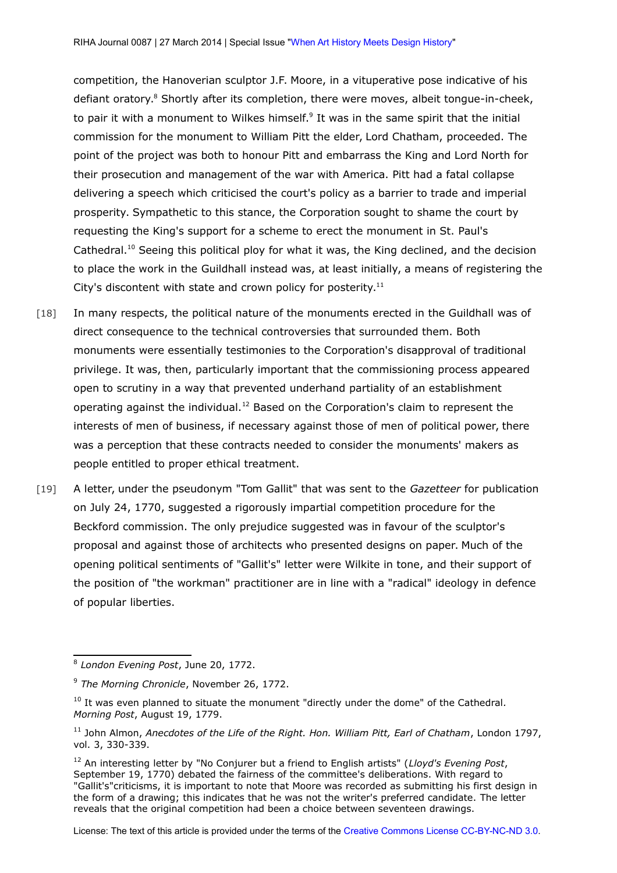competition, the Hanoverian sculptor J.F. Moore, in a vituperative pose indicative of his defiant oratory.<sup>[8](#page-8-0)</sup> Shortly after its completion, there were moves, albeit tongue-in-cheek, to pair it with a monument to Wilkes himself.<sup>[9](#page-8-1)</sup> It was in the same spirit that the initial commission for the monument to William Pitt the elder, Lord Chatham, proceeded. The point of the project was both to honour Pitt and embarrass the King and Lord North for their prosecution and management of the war with America. Pitt had a fatal collapse delivering a speech which criticised the court's policy as a barrier to trade and imperial prosperity. Sympathetic to this stance, the Corporation sought to shame the court by requesting the King's support for a scheme to erect the monument in St. Paul's Cathedral.<sup>[10](#page-8-2)</sup> Seeing this political ploy for what it was, the King declined, and the decision to place the work in the Guildhall instead was, at least initially, a means of registering the City's discontent with state and crown policy for posterity.<sup>[11](#page-8-3)</sup>

- [18] In many respects, the political nature of the monuments erected in the Guildhall was of direct consequence to the technical controversies that surrounded them. Both monuments were essentially testimonies to the Corporation's disapproval of traditional privilege. It was, then, particularly important that the commissioning process appeared open to scrutiny in a way that prevented underhand partiality of an establishment operating against the individual.<sup>[12](#page-8-4)</sup> Based on the Corporation's claim to represent the interests of men of business, if necessary against those of men of political power, there was a perception that these contracts needed to consider the monuments' makers as people entitled to proper ethical treatment.
- [19] A letter, under the pseudonym "Tom Gallit" that was sent to the *Gazetteer* for publication on July 24, 1770, suggested a rigorously impartial competition procedure for the Beckford commission. The only prejudice suggested was in favour of the sculptor's proposal and against those of architects who presented designs on paper. Much of the opening political sentiments of "Gallit's" letter were Wilkite in tone, and their support of the position of "the workman" practitioner are in line with a "radical" ideology in defence of popular liberties.

<span id="page-8-0"></span><sup>8</sup> *London Evening Post*, June 20, 1772.

<span id="page-8-1"></span><sup>9</sup> *The Morning Chronicle*, November 26, 1772.

<span id="page-8-2"></span><sup>10</sup> It was even planned to situate the monument "directly under the dome" of the Cathedral*. Morning Post*, August 19, 1779.

<span id="page-8-3"></span><sup>11</sup> John Almon, *Anecdotes of the Life of the Right. Hon. William Pitt, Earl of Chatham*, London 1797, vol. 3, 330-339.

<span id="page-8-4"></span><sup>12</sup> An interesting letter by "No Conjurer but a friend to English artists" (*Lloyd's Evening Post*, September 19, 1770) debated the fairness of the committee's deliberations. With regard to "Gallit's"criticisms, it is important to note that Moore was recorded as submitting his first design in the form of a drawing; this indicates that he was not the writer's preferred candidate. The letter reveals that the original competition had been a choice between seventeen drawings.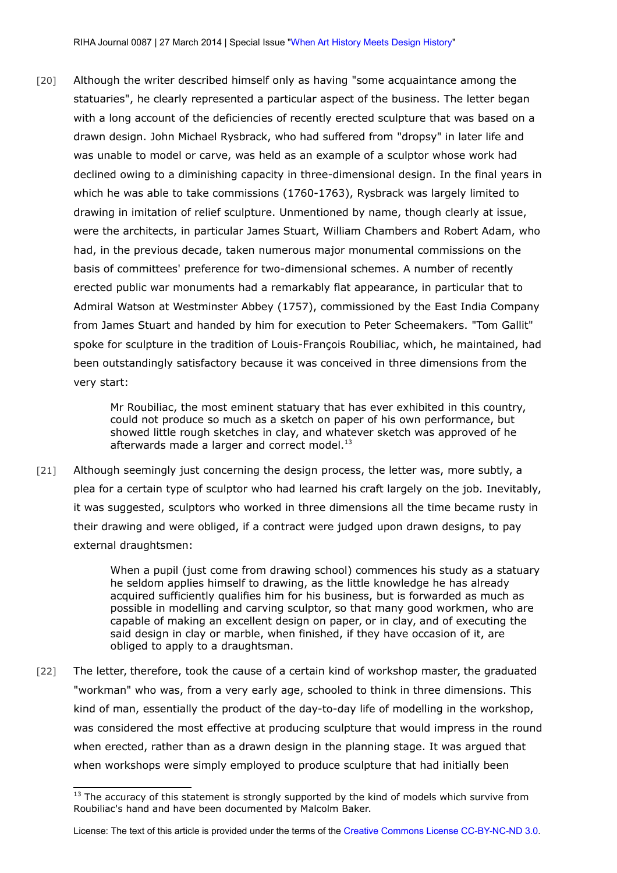[20] Although the writer described himself only as having "some acquaintance among the statuaries", he clearly represented a particular aspect of the business. The letter began with a long account of the deficiencies of recently erected sculpture that was based on a drawn design. John Michael Rysbrack, who had suffered from "dropsy" in later life and was unable to model or carve, was held as an example of a sculptor whose work had declined owing to a diminishing capacity in three-dimensional design. In the final years in which he was able to take commissions (1760-1763), Rysbrack was largely limited to drawing in imitation of relief sculpture. Unmentioned by name, though clearly at issue, were the architects, in particular James Stuart, William Chambers and Robert Adam, who had, in the previous decade, taken numerous major monumental commissions on the basis of committees' preference for two-dimensional schemes. A number of recently erected public war monuments had a remarkably flat appearance, in particular that to Admiral Watson at Westminster Abbey (1757), commissioned by the East India Company from James Stuart and handed by him for execution to Peter Scheemakers. "Tom Gallit" spoke for sculpture in the tradition of Louis-François Roubiliac, which, he maintained, had been outstandingly satisfactory because it was conceived in three dimensions from the very start:

> Mr Roubiliac, the most eminent statuary that has ever exhibited in this country, could not produce so much as a sketch on paper of his own performance, but showed little rough sketches in clay, and whatever sketch was approved of he afterwards made a larger and correct model.<sup>[13](#page-9-0)</sup>

[21] Although seemingly just concerning the design process, the letter was, more subtly, a plea for a certain type of sculptor who had learned his craft largely on the job. Inevitably, it was suggested, sculptors who worked in three dimensions all the time became rusty in their drawing and were obliged, if a contract were judged upon drawn designs, to pay external draughtsmen:

> When a pupil (just come from drawing school) commences his study as a statuary he seldom applies himself to drawing, as the little knowledge he has already acquired sufficiently qualifies him for his business, but is forwarded as much as possible in modelling and carving sculptor, so that many good workmen, who are capable of making an excellent design on paper, or in clay, and of executing the said design in clay or marble, when finished, if they have occasion of it, are obliged to apply to a draughtsman.

[22] The letter, therefore, took the cause of a certain kind of workshop master, the graduated "workman" who was, from a very early age, schooled to think in three dimensions. This kind of man, essentially the product of the day-to-day life of modelling in the workshop, was considered the most effective at producing sculpture that would impress in the round when erected, rather than as a drawn design in the planning stage. It was argued that when workshops were simply employed to produce sculpture that had initially been

<span id="page-9-0"></span> $13$  The accuracy of this statement is strongly supported by the kind of models which survive from Roubiliac's hand and have been documented by Malcolm Baker.

License: The text of this article is provided under the terms of the [Creative Commons License CC-BY-NC-ND 3.0.](http://creativecommons.org/licenses/by-nc-nd/3.0/de/deed.en)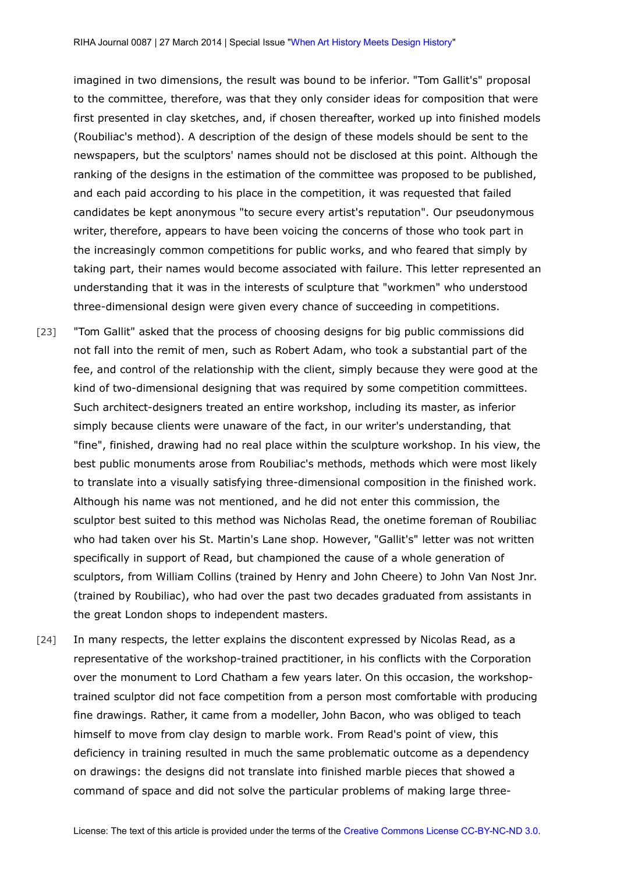imagined in two dimensions, the result was bound to be inferior. "Tom Gallit's" proposal to the committee, therefore, was that they only consider ideas for composition that were first presented in clay sketches, and, if chosen thereafter, worked up into finished models (Roubiliac's method). A description of the design of these models should be sent to the newspapers, but the sculptors' names should not be disclosed at this point. Although the ranking of the designs in the estimation of the committee was proposed to be published, and each paid according to his place in the competition, it was requested that failed candidates be kept anonymous "to secure every artist's reputation". Our pseudonymous writer, therefore, appears to have been voicing the concerns of those who took part in the increasingly common competitions for public works, and who feared that simply by taking part, their names would become associated with failure. This letter represented an understanding that it was in the interests of sculpture that "workmen" who understood three-dimensional design were given every chance of succeeding in competitions.

- [23] "Tom Gallit" asked that the process of choosing designs for big public commissions did not fall into the remit of men, such as Robert Adam, who took a substantial part of the fee, and control of the relationship with the client, simply because they were good at the kind of two-dimensional designing that was required by some competition committees. Such architect-designers treated an entire workshop, including its master, as inferior simply because clients were unaware of the fact, in our writer's understanding, that "fine", finished, drawing had no real place within the sculpture workshop. In his view, the best public monuments arose from Roubiliac's methods, methods which were most likely to translate into a visually satisfying three-dimensional composition in the finished work. Although his name was not mentioned, and he did not enter this commission, the sculptor best suited to this method was Nicholas Read, the onetime foreman of Roubiliac who had taken over his St. Martin's Lane shop. However, "Gallit's" letter was not written specifically in support of Read, but championed the cause of a whole generation of sculptors, from William Collins (trained by Henry and John Cheere) to John Van Nost Jnr. (trained by Roubiliac), who had over the past two decades graduated from assistants in the great London shops to independent masters.
- [24] In many respects, the letter explains the discontent expressed by Nicolas Read, as a representative of the workshop-trained practitioner, in his conflicts with the Corporation over the monument to Lord Chatham a few years later. On this occasion, the workshoptrained sculptor did not face competition from a person most comfortable with producing fine drawings. Rather, it came from a modeller, John Bacon, who was obliged to teach himself to move from clay design to marble work. From Read's point of view, this deficiency in training resulted in much the same problematic outcome as a dependency on drawings: the designs did not translate into finished marble pieces that showed a command of space and did not solve the particular problems of making large three-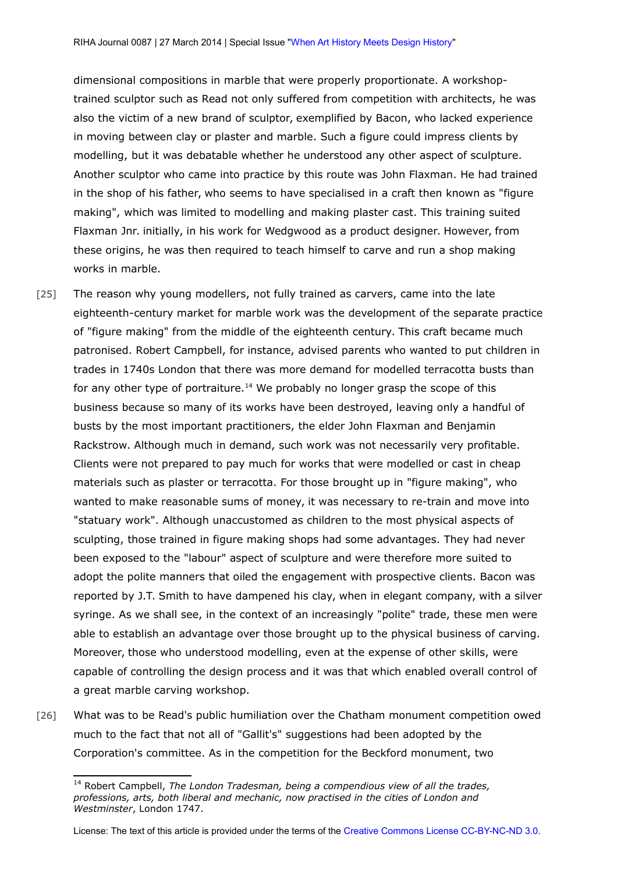dimensional compositions in marble that were properly proportionate. A workshoptrained sculptor such as Read not only suffered from competition with architects, he was also the victim of a new brand of sculptor, exemplified by Bacon, who lacked experience in moving between clay or plaster and marble. Such a figure could impress clients by modelling, but it was debatable whether he understood any other aspect of sculpture. Another sculptor who came into practice by this route was John Flaxman. He had trained in the shop of his father, who seems to have specialised in a craft then known as "figure making", which was limited to modelling and making plaster cast. This training suited Flaxman Jnr. initially, in his work for Wedgwood as a product designer. However, from these origins, he was then required to teach himself to carve and run a shop making works in marble.

- [25] The reason why young modellers, not fully trained as carvers, came into the late eighteenth-century market for marble work was the development of the separate practice of "figure making" from the middle of the eighteenth century. This craft became much patronised. Robert Campbell, for instance, advised parents who wanted to put children in trades in 1740s London that there was more demand for modelled terracotta busts than for any other type of portraiture.<sup>[14](#page-11-0)</sup> We probably no longer grasp the scope of this business because so many of its works have been destroyed, leaving only a handful of busts by the most important practitioners, the elder John Flaxman and Benjamin Rackstrow. Although much in demand, such work was not necessarily very profitable. Clients were not prepared to pay much for works that were modelled or cast in cheap materials such as plaster or terracotta. For those brought up in "figure making", who wanted to make reasonable sums of money, it was necessary to re-train and move into "statuary work". Although unaccustomed as children to the most physical aspects of sculpting, those trained in figure making shops had some advantages. They had never been exposed to the "labour" aspect of sculpture and were therefore more suited to adopt the polite manners that oiled the engagement with prospective clients. Bacon was reported by J.T. Smith to have dampened his clay, when in elegant company, with a silver syringe. As we shall see, in the context of an increasingly "polite" trade, these men were able to establish an advantage over those brought up to the physical business of carving. Moreover, those who understood modelling, even at the expense of other skills, were capable of controlling the design process and it was that which enabled overall control of a great marble carving workshop.
- [26] What was to be Read's public humiliation over the Chatham monument competition owed much to the fact that not all of "Gallit's" suggestions had been adopted by the Corporation's committee. As in the competition for the Beckford monument, two

<span id="page-11-0"></span><sup>14</sup> Robert Campbell, *The London Tradesman, being a compendious view of all the trades, professions, arts, both liberal and mechanic, now practised in the cities of London and Westminster*, London 1747.

License: The text of this article is provided under the terms of the [Creative Commons License CC-BY-NC-ND 3.0.](http://creativecommons.org/licenses/by-nc-nd/3.0/de/deed.en)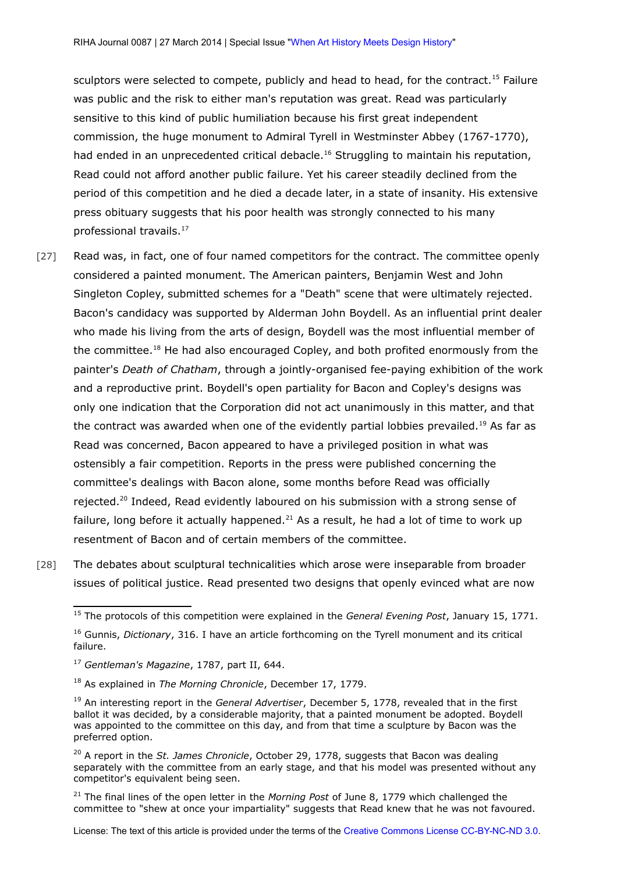sculptors were selected to compete, publicly and head to head, for the contract.<sup>[15](#page-12-0)</sup> Failure was public and the risk to either man's reputation was great. Read was particularly sensitive to this kind of public humiliation because his first great independent commission, the huge monument to Admiral Tyrell in Westminster Abbey (1767-1770), had ended in an unprecedented critical debacle.<sup>[16](#page-12-1)</sup> Struggling to maintain his reputation, Read could not afford another public failure. Yet his career steadily declined from the period of this competition and he died a decade later, in a state of insanity. His extensive press obituary suggests that his poor health was strongly connected to his many professional travails.<sup>[17](#page-12-2)</sup>

- [27] Read was, in fact, one of four named competitors for the contract. The committee openly considered a painted monument. The American painters, Benjamin West and John Singleton Copley, submitted schemes for a "Death" scene that were ultimately rejected. Bacon's candidacy was supported by Alderman John Boydell. As an influential print dealer who made his living from the arts of design, Boydell was the most influential member of the committee.<sup>[18](#page-12-3)</sup> He had also encouraged Copley, and both profited enormously from the painter's *Death of Chatham*, through a jointly-organised fee-paying exhibition of the work and a reproductive print. Boydell's open partiality for Bacon and Copley's designs was only one indication that the Corporation did not act unanimously in this matter, and that the contract was awarded when one of the evidently partial lobbies prevailed.<sup>[19](#page-12-4)</sup> As far as Read was concerned, Bacon appeared to have a privileged position in what was ostensibly a fair competition. Reports in the press were published concerning the committee's dealings with Bacon alone, some months before Read was officially rejected.<sup>[20](#page-12-5)</sup> Indeed, Read evidently laboured on his submission with a strong sense of failure, long before it actually happened. $^{21}$  $^{21}$  $^{21}$  As a result, he had a lot of time to work up resentment of Bacon and of certain members of the committee.
- [28] The debates about sculptural technicalities which arose were inseparable from broader issues of political justice. Read presented two designs that openly evinced what are now

<span id="page-12-6"></span><sup>21</sup> The final lines of the open letter in the *Morning Post* of June 8, 1779 which challenged the committee to "shew at once your impartiality" suggests that Read knew that he was not favoured.

<span id="page-12-0"></span><sup>15</sup> The protocols of this competition were explained in the *General Evening Post*, January 15, 1771.

<span id="page-12-1"></span><sup>16</sup> Gunnis, *Dictionary*, 316. I have an article forthcoming on the Tyrell monument and its critical failure.

<span id="page-12-2"></span><sup>17</sup> *Gentleman's Magazine*, 1787, part II, 644.

<span id="page-12-3"></span><sup>18</sup> As explained in *The Morning Chronicle*, December 17, 1779.

<span id="page-12-4"></span><sup>19</sup> An interesting report in the *General Advertiser*, December 5, 1778, revealed that in the first ballot it was decided, by a considerable majority, that a painted monument be adopted. Boydell was appointed to the committee on this day, and from that time a sculpture by Bacon was the preferred option.

<span id="page-12-5"></span><sup>20</sup> A report in the *St. James Chronicle*, October 29, 1778, suggests that Bacon was dealing separately with the committee from an early stage, and that his model was presented without any competitor's equivalent being seen.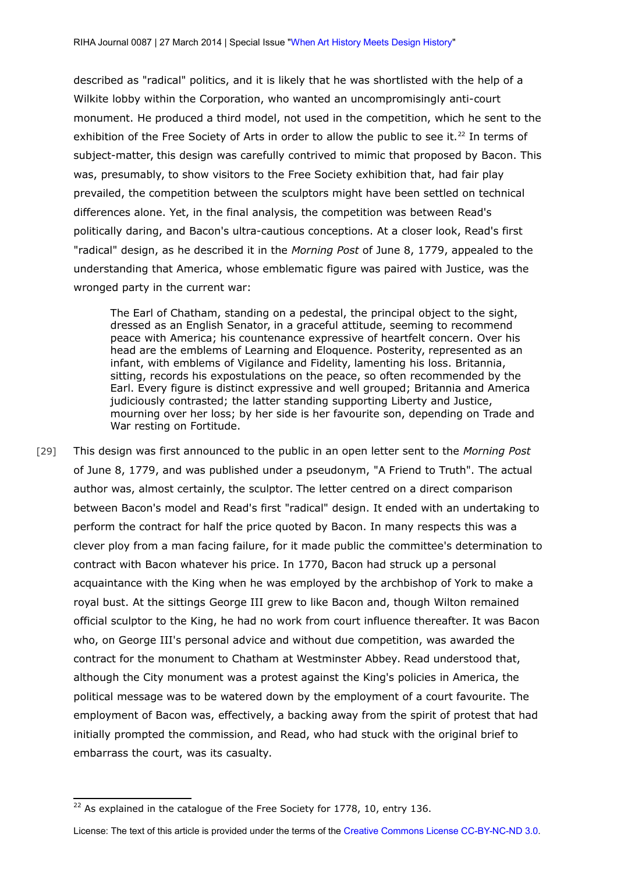described as "radical" politics, and it is likely that he was shortlisted with the help of a Wilkite lobby within the Corporation, who wanted an uncompromisingly anti-court monument. He produced a third model, not used in the competition, which he sent to the exhibition of the Free Society of Arts in order to allow the public to see it.<sup>[22](#page-13-0)</sup> In terms of subject-matter, this design was carefully contrived to mimic that proposed by Bacon. This was, presumably, to show visitors to the Free Society exhibition that, had fair play prevailed, the competition between the sculptors might have been settled on technical differences alone. Yet, in the final analysis, the competition was between Read's politically daring, and Bacon's ultra-cautious conceptions. At a closer look, Read's first "radical" design, as he described it in the *Morning Post* of June 8, 1779, appealed to the understanding that America, whose emblematic figure was paired with Justice, was the wronged party in the current war:

The Earl of Chatham, standing on a pedestal, the principal object to the sight, dressed as an English Senator, in a graceful attitude, seeming to recommend peace with America; his countenance expressive of heartfelt concern. Over his head are the emblems of Learning and Eloquence. Posterity, represented as an infant, with emblems of Vigilance and Fidelity, lamenting his loss. Britannia, sitting, records his expostulations on the peace, so often recommended by the Earl. Every figure is distinct expressive and well grouped; Britannia and America judiciously contrasted; the latter standing supporting Liberty and Justice, mourning over her loss; by her side is her favourite son, depending on Trade and War resting on Fortitude.

[29] This design was first announced to the public in an open letter sent to the *Morning Post* of June 8, 1779, and was published under a pseudonym, "A Friend to Truth". The actual author was, almost certainly, the sculptor. The letter centred on a direct comparison between Bacon's model and Read's first "radical" design. It ended with an undertaking to perform the contract for half the price quoted by Bacon. In many respects this was a clever ploy from a man facing failure, for it made public the committee's determination to contract with Bacon whatever his price. In 1770, Bacon had struck up a personal acquaintance with the King when he was employed by the archbishop of York to make a royal bust. At the sittings George III grew to like Bacon and, though Wilton remained official sculptor to the King, he had no work from court influence thereafter. It was Bacon who, on George III's personal advice and without due competition, was awarded the contract for the monument to Chatham at Westminster Abbey. Read understood that, although the City monument was a protest against the King's policies in America, the political message was to be watered down by the employment of a court favourite. The employment of Bacon was, effectively, a backing away from the spirit of protest that had initially prompted the commission, and Read, who had stuck with the original brief to embarrass the court, was its casualty.

<span id="page-13-0"></span> $22$  As explained in the catalogue of the Free Society for 1778, 10, entry 136.

License: The text of this article is provided under the terms of the [Creative Commons License CC-BY-NC-ND 3.0.](http://creativecommons.org/licenses/by-nc-nd/3.0/de/deed.en)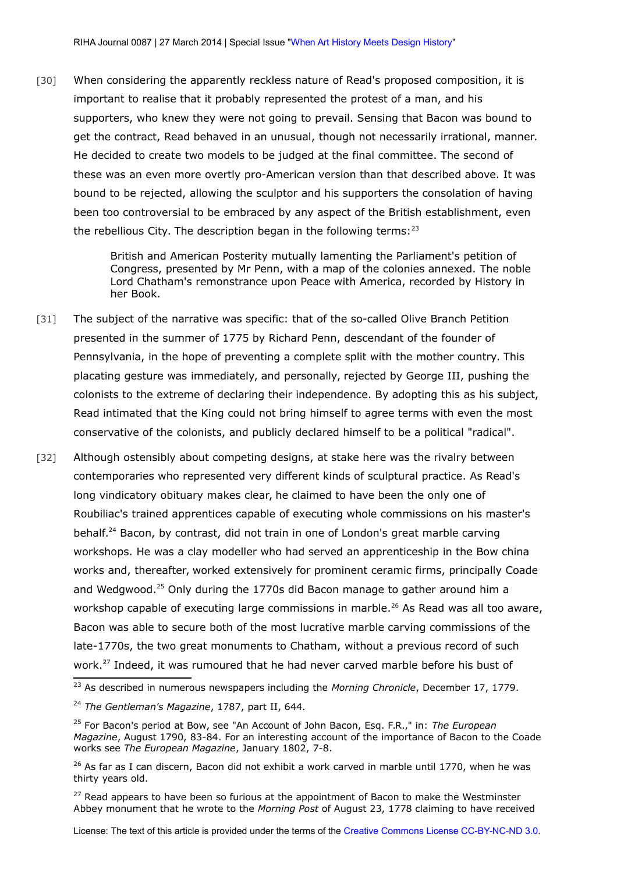[30] When considering the apparently reckless nature of Read's proposed composition, it is important to realise that it probably represented the protest of a man, and his supporters, who knew they were not going to prevail. Sensing that Bacon was bound to get the contract, Read behaved in an unusual, though not necessarily irrational, manner. He decided to create two models to be judged at the final committee. The second of these was an even more overtly pro-American version than that described above. It was bound to be rejected, allowing the sculptor and his supporters the consolation of having been too controversial to be embraced by any aspect of the British establishment, even the rebellious City. The description began in the following terms: $^{23}$  $^{23}$  $^{23}$ 

> British and American Posterity mutually lamenting the Parliament's petition of Congress, presented by Mr Penn, with a map of the colonies annexed. The noble Lord Chatham's remonstrance upon Peace with America, recorded by History in her Book.

- [31] The subject of the narrative was specific: that of the so-called Olive Branch Petition presented in the summer of 1775 by Richard Penn, descendant of the founder of Pennsylvania, in the hope of preventing a complete split with the mother country. This placating gesture was immediately, and personally, rejected by George III, pushing the colonists to the extreme of declaring their independence. By adopting this as his subject, Read intimated that the King could not bring himself to agree terms with even the most conservative of the colonists, and publicly declared himself to be a political "radical".
- [32] Although ostensibly about competing designs, at stake here was the rivalry between contemporaries who represented very different kinds of sculptural practice. As Read's long vindicatory obituary makes clear, he claimed to have been the only one of Roubiliac's trained apprentices capable of executing whole commissions on his master's behalf.<sup>[24](#page-14-1)</sup> Bacon, by contrast, did not train in one of London's great marble carving workshops. He was a clay modeller who had served an apprenticeship in the Bow china works and, thereafter, worked extensively for prominent ceramic firms, principally Coade and Wedgwood.<sup>[25](#page-14-2)</sup> Only during the 1770s did Bacon manage to gather around him a workshop capable of executing large commissions in marble.<sup>[26](#page-14-3)</sup> As Read was all too aware, Bacon was able to secure both of the most lucrative marble carving commissions of the late-1770s, the two great monuments to Chatham, without a previous record of such work.[27](#page-14-4) Indeed, it was rumoured that he had never carved marble before his bust of

<span id="page-14-0"></span><sup>23</sup> As described in numerous newspapers including the *Morning Chronicle*, December 17, 1779.

<span id="page-14-1"></span><sup>24</sup> *The Gentleman's Magazine*, 1787, part II, 644.

<span id="page-14-2"></span><sup>25</sup> For Bacon's period at Bow, see "An Account of John Bacon, Esq. F.R.," in: *The European Magazine*, August 1790, 83-84. For an interesting account of the importance of Bacon to the Coade works see *The European Magazine*, January 1802, 7-8.

<span id="page-14-3"></span> $26$  As far as I can discern, Bacon did not exhibit a work carved in marble until 1770, when he was thirty years old.

<span id="page-14-4"></span> $27$  Read appears to have been so furious at the appointment of Bacon to make the Westminster Abbey monument that he wrote to the *Morning Post* of August 23, 1778 claiming to have received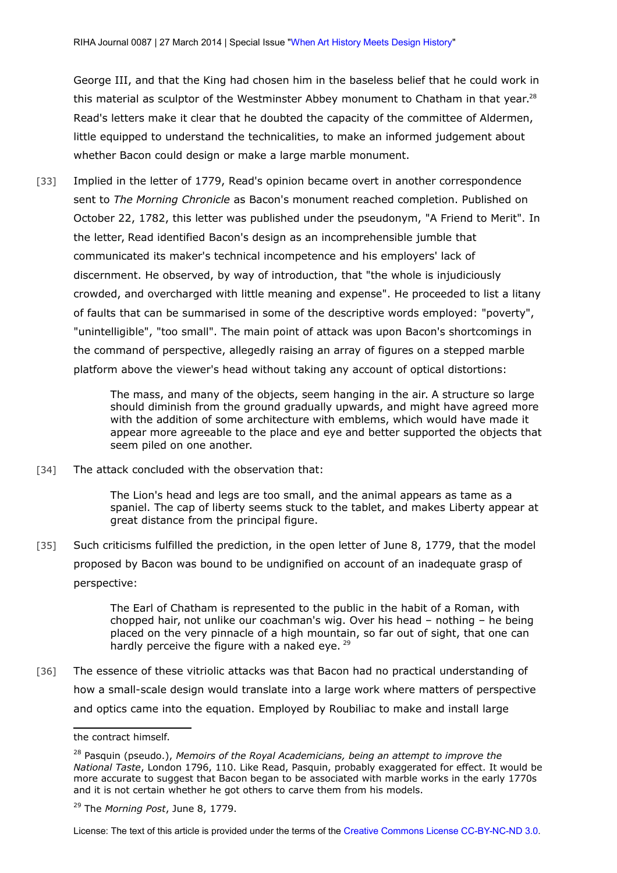George III, and that the King had chosen him in the baseless belief that he could work in this material as sculptor of the Westminster Abbey monument to Chatham in that year.<sup>[28](#page-15-0)</sup> Read's letters make it clear that he doubted the capacity of the committee of Aldermen, little equipped to understand the technicalities, to make an informed judgement about whether Bacon could design or make a large marble monument.

[33] Implied in the letter of 1779, Read's opinion became overt in another correspondence sent to *The Morning Chronicle* as Bacon's monument reached completion. Published on October 22, 1782, this letter was published under the pseudonym, "A Friend to Merit". In the letter, Read identified Bacon's design as an incomprehensible jumble that communicated its maker's technical incompetence and his employers' lack of discernment. He observed, by way of introduction, that "the whole is injudiciously crowded, and overcharged with little meaning and expense". He proceeded to list a litany of faults that can be summarised in some of the descriptive words employed: "poverty", "unintelligible", "too small". The main point of attack was upon Bacon's shortcomings in the command of perspective, allegedly raising an array of figures on a stepped marble platform above the viewer's head without taking any account of optical distortions:

> The mass, and many of the objects, seem hanging in the air. A structure so large should diminish from the ground gradually upwards, and might have agreed more with the addition of some architecture with emblems, which would have made it appear more agreeable to the place and eye and better supported the objects that seem piled on one another.

[34] The attack concluded with the observation that:

The Lion's head and legs are too small, and the animal appears as tame as a spaniel. The cap of liberty seems stuck to the tablet, and makes Liberty appear at great distance from the principal figure.

[35] Such criticisms fulfilled the prediction, in the open letter of June 8, 1779, that the model proposed by Bacon was bound to be undignified on account of an inadequate grasp of perspective:

> The Earl of Chatham is represented to the public in the habit of a Roman, with chopped hair, not unlike our coachman's wig. Over his head – nothing – he being placed on the very pinnacle of a high mountain, so far out of sight, that one can hardly perceive the figure with a naked eye. <sup>[29](#page-15-1)</sup>

[36] The essence of these vitriolic attacks was that Bacon had no practical understanding of how a small-scale design would translate into a large work where matters of perspective and optics came into the equation. Employed by Roubiliac to make and install large

the contract himself.

<span id="page-15-0"></span><sup>28</sup> Pasquin (pseudo.), *Memoirs of the Royal Academicians, being an attempt to improve the National Taste*, London 1796, 110. Like Read, Pasquin, probably exaggerated for effect. It would be more accurate to suggest that Bacon began to be associated with marble works in the early 1770s and it is not certain whether he got others to carve them from his models.

<span id="page-15-1"></span><sup>29</sup> The *Morning Post*, June 8, 1779.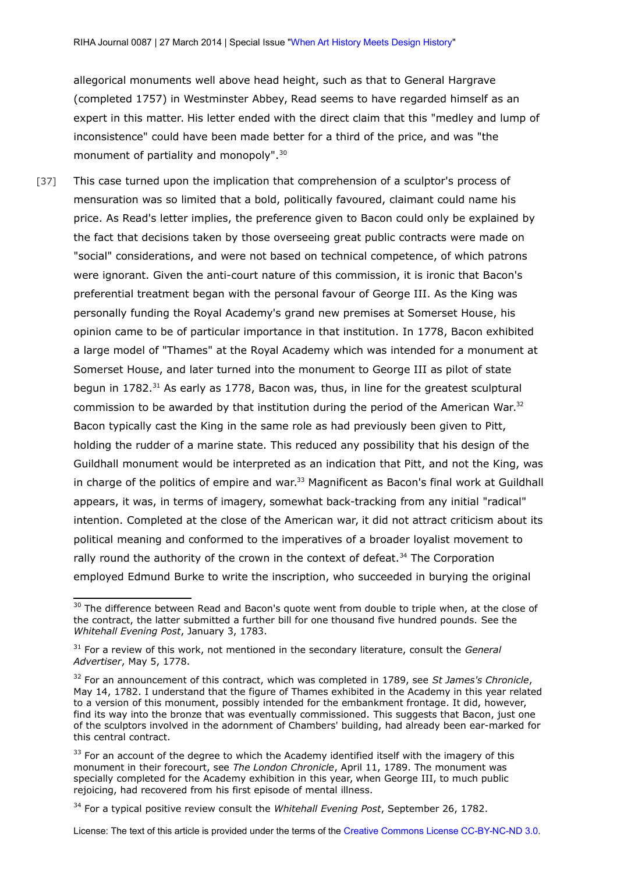allegorical monuments well above head height, such as that to General Hargrave (completed 1757) in Westminster Abbey, Read seems to have regarded himself as an expert in this matter. His letter ended with the direct claim that this "medley and lump of inconsistence" could have been made better for a third of the price, and was "the monument of partiality and monopoly".<sup>[30](#page-16-0)</sup>

[37] This case turned upon the implication that comprehension of a sculptor's process of mensuration was so limited that a bold, politically favoured, claimant could name his price. As Read's letter implies, the preference given to Bacon could only be explained by the fact that decisions taken by those overseeing great public contracts were made on "social" considerations, and were not based on technical competence, of which patrons were ignorant. Given the anti-court nature of this commission, it is ironic that Bacon's preferential treatment began with the personal favour of George III. As the King was personally funding the Royal Academy's grand new premises at Somerset House, his opinion came to be of particular importance in that institution. In 1778, Bacon exhibited a large model of "Thames" at the Royal Academy which was intended for a monument at Somerset House, and later turned into the monument to George III as pilot of state begun in 1782.<sup>[31](#page-16-1)</sup> As early as 1778, Bacon was, thus, in line for the greatest sculptural commission to be awarded by that institution during the period of the American War.<sup>[32](#page-16-2)</sup> Bacon typically cast the King in the same role as had previously been given to Pitt, holding the rudder of a marine state. This reduced any possibility that his design of the Guildhall monument would be interpreted as an indication that Pitt, and not the King, was in charge of the politics of empire and war. $33$  Magnificent as Bacon's final work at Guildhall appears, it was, in terms of imagery, somewhat back-tracking from any initial "radical" intention. Completed at the close of the American war, it did not attract criticism about its political meaning and conformed to the imperatives of a broader loyalist movement to rally round the authority of the crown in the context of defeat.<sup>[34](#page-16-4)</sup> The Corporation employed Edmund Burke to write the inscription, who succeeded in burying the original

<span id="page-16-0"></span><sup>&</sup>lt;sup>30</sup> The difference between Read and Bacon's quote went from double to triple when, at the close of the contract, the latter submitted a further bill for one thousand five hundred pounds. See the *Whitehall Evening Post*, January 3, 1783.

<span id="page-16-1"></span><sup>31</sup> For a review of this work, not mentioned in the secondary literature, consult the *General Advertiser*, May 5, 1778.

<span id="page-16-2"></span><sup>32</sup> For an announcement of this contract, which was completed in 1789, see *St James's Chronicle*, May 14, 1782. I understand that the figure of Thames exhibited in the Academy in this year related to a version of this monument, possibly intended for the embankment frontage. It did, however, find its way into the bronze that was eventually commissioned. This suggests that Bacon, just one of the sculptors involved in the adornment of Chambers' building, had already been ear-marked for this central contract.

<span id="page-16-3"></span><sup>&</sup>lt;sup>33</sup> For an account of the degree to which the Academy identified itself with the imagery of this monument in their forecourt, see *The London Chronicle*, April 11, 1789. The monument was specially completed for the Academy exhibition in this year, when George III, to much public rejoicing, had recovered from his first episode of mental illness.

<span id="page-16-4"></span><sup>34</sup> For a typical positive review consult the *Whitehall Evening Post*, September 26, 1782.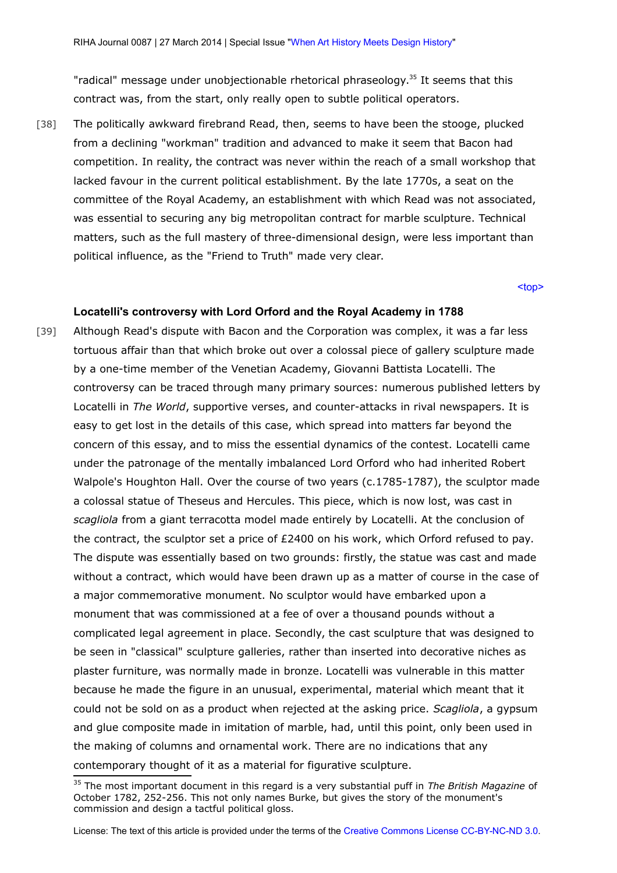"radical" message under unobjectionable rhetorical phraseology.[35](#page-17-1) It seems that this contract was, from the start, only really open to subtle political operators.

[38] The politically awkward firebrand Read, then, seems to have been the stooge, plucked from a declining "workman" tradition and advanced to make it seem that Bacon had competition. In reality, the contract was never within the reach of a small workshop that lacked favour in the current political establishment. By the late 1770s, a seat on the committee of the Royal Academy, an establishment with which Read was not associated, was essential to securing any big metropolitan contract for marble sculpture. Technical matters, such as the full mastery of three-dimensional design, were less important than political influence, as the "Friend to Truth" made very clear.

[<top>](#page-0-2)

## <span id="page-17-0"></span>**Locatelli's controversy with Lord Orford and the Royal Academy in 1788**

[39] Although Read's dispute with Bacon and the Corporation was complex, it was a far less tortuous affair than that which broke out over a colossal piece of gallery sculpture made by a one-time member of the Venetian Academy, Giovanni Battista Locatelli. The controversy can be traced through many primary sources: numerous published letters by Locatelli in *The World*, supportive verses, and counter-attacks in rival newspapers. It is easy to get lost in the details of this case, which spread into matters far beyond the concern of this essay, and to miss the essential dynamics of the contest. Locatelli came under the patronage of the mentally imbalanced Lord Orford who had inherited Robert Walpole's Houghton Hall. Over the course of two years (c.1785-1787), the sculptor made a colossal statue of Theseus and Hercules. This piece, which is now lost, was cast in *scagliola* from a giant terracotta model made entirely by Locatelli. At the conclusion of the contract, the sculptor set a price of £2400 on his work, which Orford refused to pay. The dispute was essentially based on two grounds: firstly, the statue was cast and made without a contract, which would have been drawn up as a matter of course in the case of a major commemorative monument. No sculptor would have embarked upon a monument that was commissioned at a fee of over a thousand pounds without a complicated legal agreement in place. Secondly, the cast sculpture that was designed to be seen in "classical" sculpture galleries, rather than inserted into decorative niches as plaster furniture, was normally made in bronze. Locatelli was vulnerable in this matter because he made the figure in an unusual, experimental, material which meant that it could not be sold on as a product when rejected at the asking price. *Scagliola*, a gypsum and glue composite made in imitation of marble, had, until this point, only been used in the making of columns and ornamental work. There are no indications that any contemporary thought of it as a material for figurative sculpture.

<span id="page-17-1"></span><sup>35</sup> The most important document in this regard is a very substantial puff in *The British Magazine* of October 1782, 252-256. This not only names Burke, but gives the story of the monument's commission and design a tactful political gloss.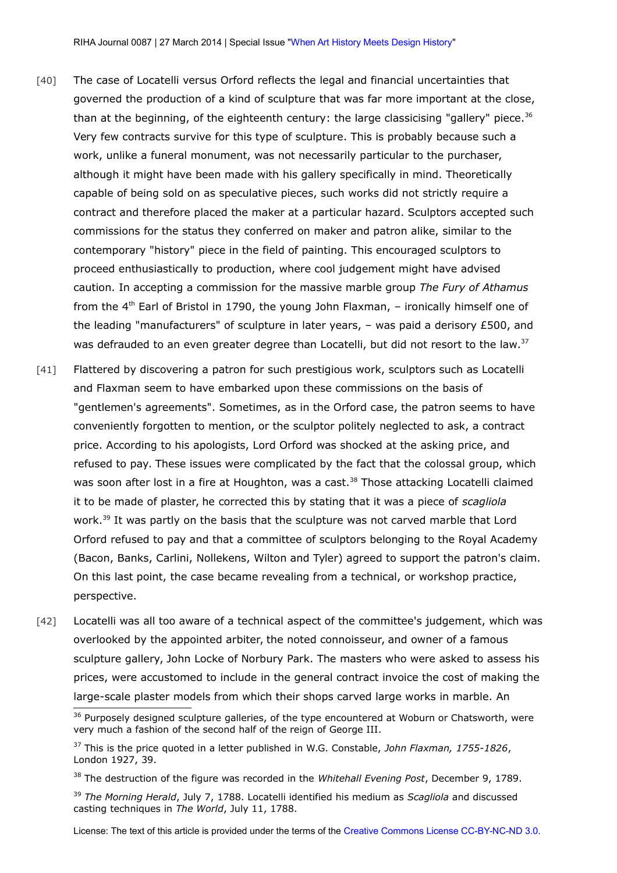- [40] The case of Locatelli versus Orford reflects the legal and financial uncertainties that governed the production of a kind of sculpture that was far more important at the close, than at the beginning, of the eighteenth century: the large classicising "gallery" piece. $36$ Very few contracts survive for this type of sculpture. This is probably because such a work, unlike a funeral monument, was not necessarily particular to the purchaser, although it might have been made with his gallery specifically in mind. Theoretically capable of being sold on as speculative pieces, such works did not strictly require a contract and therefore placed the maker at a particular hazard. Sculptors accepted such commissions for the status they conferred on maker and patron alike, similar to the contemporary "history" piece in the field of painting. This encouraged sculptors to proceed enthusiastically to production, where cool judgement might have advised caution. In accepting a commission for the massive marble group *The Fury of Athamus* from the  $4<sup>th</sup>$  Earl of Bristol in 1790, the young John Flaxman, – ironically himself one of the leading "manufacturers" of sculpture in later years, – was paid a derisory £500, and was defrauded to an even greater degree than Locatelli, but did not resort to the law.<sup>[37](#page-18-1)</sup>
- [41] Flattered by discovering a patron for such prestigious work, sculptors such as Locatelli and Flaxman seem to have embarked upon these commissions on the basis of "gentlemen's agreements". Sometimes, as in the Orford case, the patron seems to have conveniently forgotten to mention, or the sculptor politely neglected to ask, a contract price. According to his apologists, Lord Orford was shocked at the asking price, and refused to pay. These issues were complicated by the fact that the colossal group, which was soon after lost in a fire at Houghton, was a cast.<sup>[38](#page-18-2)</sup> Those attacking Locatelli claimed it to be made of plaster, he corrected this by stating that it was a piece of *scagliola*  work.<sup>[39](#page-18-3)</sup> It was partly on the basis that the sculpture was not carved marble that Lord Orford refused to pay and that a committee of sculptors belonging to the Royal Academy (Bacon, Banks, Carlini, Nollekens, Wilton and Tyler) agreed to support the patron's claim. On this last point, the case became revealing from a technical, or workshop practice, perspective.
- [42] Locatelli was all too aware of a technical aspect of the committee's judgement, which was overlooked by the appointed arbiter, the noted connoisseur, and owner of a famous sculpture gallery, John Locke of Norbury Park. The masters who were asked to assess his prices, were accustomed to include in the general contract invoice the cost of making the large-scale plaster models from which their shops carved large works in marble. An

<span id="page-18-0"></span><sup>&</sup>lt;sup>36</sup> Purposely designed sculpture galleries, of the type encountered at Woburn or Chatsworth, were very much a fashion of the second half of the reign of George III.

<span id="page-18-1"></span><sup>37</sup> This is the price quoted in a letter published in W.G. Constable, *John Flaxman, 1755-1826*, London 1927, 39.

<span id="page-18-2"></span><sup>38</sup> The destruction of the figure was recorded in the *Whitehall Evening Post*, December 9, 1789.

<span id="page-18-3"></span><sup>39</sup> *The Morning Herald*, July 7, 1788. Locatelli identified his medium as *Scagliola* and discussed casting techniques in *The World*, July 11, 1788.

License: The text of this article is provided under the terms of the [Creative Commons License CC-BY-NC-ND 3.0.](http://creativecommons.org/licenses/by-nc-nd/3.0/de/deed.en)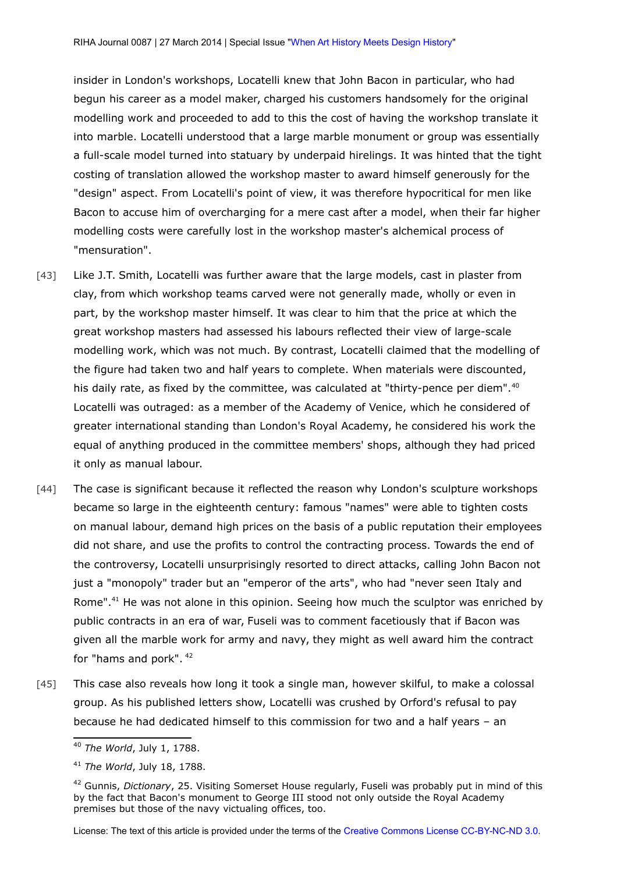insider in London's workshops, Locatelli knew that John Bacon in particular, who had begun his career as a model maker, charged his customers handsomely for the original modelling work and proceeded to add to this the cost of having the workshop translate it into marble. Locatelli understood that a large marble monument or group was essentially a full-scale model turned into statuary by underpaid hirelings. It was hinted that the tight costing of translation allowed the workshop master to award himself generously for the "design" aspect. From Locatelli's point of view, it was therefore hypocritical for men like Bacon to accuse him of overcharging for a mere cast after a model, when their far higher modelling costs were carefully lost in the workshop master's alchemical process of "mensuration".

- [43] Like J.T. Smith, Locatelli was further aware that the large models, cast in plaster from clay, from which workshop teams carved were not generally made, wholly or even in part, by the workshop master himself. It was clear to him that the price at which the great workshop masters had assessed his labours reflected their view of large-scale modelling work, which was not much. By contrast, Locatelli claimed that the modelling of the figure had taken two and half years to complete. When materials were discounted, his daily rate, as fixed by the committee, was calculated at "thirty-pence per diem".<sup>[40](#page-19-0)</sup> Locatelli was outraged: as a member of the Academy of Venice, which he considered of greater international standing than London's Royal Academy, he considered his work the equal of anything produced in the committee members' shops, although they had priced it only as manual labour.
- [44] The case is significant because it reflected the reason why London's sculpture workshops became so large in the eighteenth century: famous "names" were able to tighten costs on manual labour, demand high prices on the basis of a public reputation their employees did not share, and use the profits to control the contracting process. Towards the end of the controversy, Locatelli unsurprisingly resorted to direct attacks, calling John Bacon not just a "monopoly" trader but an "emperor of the arts", who had "never seen Italy and Rome". $41$  He was not alone in this opinion. Seeing how much the sculptor was enriched by public contracts in an era of war, Fuseli was to comment facetiously that if Bacon was given all the marble work for army and navy, they might as well award him the contract for "hams and pork".  $42$
- [45] This case also reveals how long it took a single man, however skilful, to make a colossal group. As his published letters show, Locatelli was crushed by Orford's refusal to pay because he had dedicated himself to this commission for two and a half years – an

<span id="page-19-0"></span><sup>40</sup> *The World*, July 1, 1788.

<span id="page-19-1"></span><sup>41</sup> *The World*, July 18, 1788.

<span id="page-19-2"></span><sup>42</sup> Gunnis, *Dictionary*, 25. Visiting Somerset House regularly, Fuseli was probably put in mind of this by the fact that Bacon's monument to George III stood not only outside the Royal Academy premises but those of the navy victualing offices, too.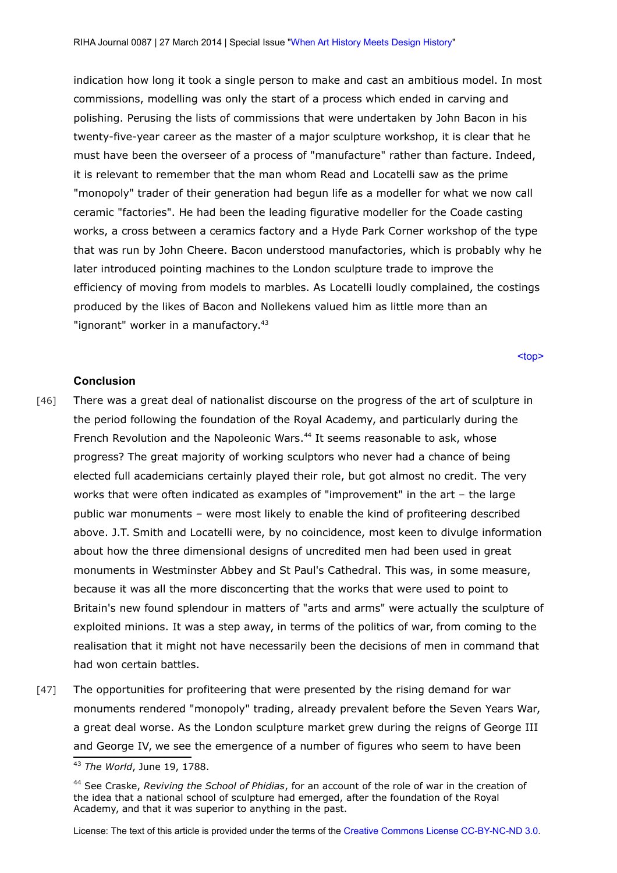indication how long it took a single person to make and cast an ambitious model. In most commissions, modelling was only the start of a process which ended in carving and polishing. Perusing the lists of commissions that were undertaken by John Bacon in his twenty-five-year career as the master of a major sculpture workshop, it is clear that he must have been the overseer of a process of "manufacture" rather than facture. Indeed, it is relevant to remember that the man whom Read and Locatelli saw as the prime "monopoly" trader of their generation had begun life as a modeller for what we now call ceramic "factories". He had been the leading figurative modeller for the Coade casting works, a cross between a ceramics factory and a Hyde Park Corner workshop of the type that was run by John Cheere. Bacon understood manufactories, which is probably why he later introduced pointing machines to the London sculpture trade to improve the efficiency of moving from models to marbles. As Locatelli loudly complained, the costings produced by the likes of Bacon and Nollekens valued him as little more than an "ignorant" worker in a manufactory.<sup>[43](#page-20-1)</sup>

[<top>](#page-0-2)

## <span id="page-20-0"></span>**Conclusion**

- [46] There was a great deal of nationalist discourse on the progress of the art of sculpture in the period following the foundation of the Royal Academy, and particularly during the French Revolution and the Napoleonic Wars.<sup>[44](#page-20-2)</sup> It seems reasonable to ask, whose progress? The great majority of working sculptors who never had a chance of being elected full academicians certainly played their role, but got almost no credit. The very works that were often indicated as examples of "improvement" in the art – the large public war monuments – were most likely to enable the kind of profiteering described above. J.T. Smith and Locatelli were, by no coincidence, most keen to divulge information about how the three dimensional designs of uncredited men had been used in great monuments in Westminster Abbey and St Paul's Cathedral. This was, in some measure, because it was all the more disconcerting that the works that were used to point to Britain's new found splendour in matters of "arts and arms" were actually the sculpture of exploited minions. It was a step away, in terms of the politics of war, from coming to the realisation that it might not have necessarily been the decisions of men in command that had won certain battles.
- [47] The opportunities for profiteering that were presented by the rising demand for war monuments rendered "monopoly" trading, already prevalent before the Seven Years War, a great deal worse. As the London sculpture market grew during the reigns of George III and George IV, we see the emergence of a number of figures who seem to have been

<span id="page-20-1"></span><sup>43</sup> *The World*, June 19, 1788.

<span id="page-20-2"></span><sup>44</sup> See Craske, *Reviving the School of Phidias*, for an account of the role of war in the creation of the idea that a national school of sculpture had emerged, after the foundation of the Royal Academy, and that it was superior to anything in the past.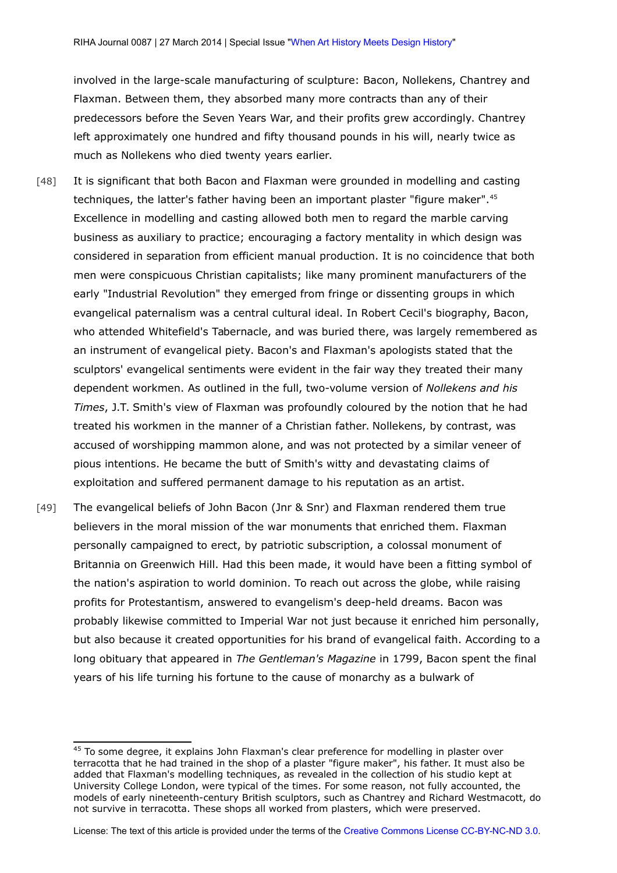involved in the large-scale manufacturing of sculpture: Bacon, Nollekens, Chantrey and Flaxman. Between them, they absorbed many more contracts than any of their predecessors before the Seven Years War, and their profits grew accordingly. Chantrey left approximately one hundred and fifty thousand pounds in his will, nearly twice as much as Nollekens who died twenty years earlier.

- [48] It is significant that both Bacon and Flaxman were grounded in modelling and casting techniques, the latter's father having been an important plaster "figure maker".<sup>[45](#page-21-0)</sup> Excellence in modelling and casting allowed both men to regard the marble carving business as auxiliary to practice; encouraging a factory mentality in which design was considered in separation from efficient manual production. It is no coincidence that both men were conspicuous Christian capitalists; like many prominent manufacturers of the early "Industrial Revolution" they emerged from fringe or dissenting groups in which evangelical paternalism was a central cultural ideal. In Robert Cecil's biography, Bacon, who attended Whitefield's Tabernacle, and was buried there, was largely remembered as an instrument of evangelical piety. Bacon's and Flaxman's apologists stated that the sculptors' evangelical sentiments were evident in the fair way they treated their many dependent workmen. As outlined in the full, two-volume version of *Nollekens and his Times*, J.T. Smith's view of Flaxman was profoundly coloured by the notion that he had treated his workmen in the manner of a Christian father. Nollekens, by contrast, was accused of worshipping mammon alone, and was not protected by a similar veneer of pious intentions. He became the butt of Smith's witty and devastating claims of exploitation and suffered permanent damage to his reputation as an artist.
- [49] The evangelical beliefs of John Bacon (Jnr & Snr) and Flaxman rendered them true believers in the moral mission of the war monuments that enriched them. Flaxman personally campaigned to erect, by patriotic subscription, a colossal monument of Britannia on Greenwich Hill. Had this been made, it would have been a fitting symbol of the nation's aspiration to world dominion. To reach out across the globe, while raising profits for Protestantism, answered to evangelism's deep-held dreams. Bacon was probably likewise committed to Imperial War not just because it enriched him personally, but also because it created opportunities for his brand of evangelical faith. According to a long obituary that appeared in *The Gentleman's Magazine* in 1799, Bacon spent the final years of his life turning his fortune to the cause of monarchy as a bulwark of

<span id="page-21-0"></span><sup>&</sup>lt;sup>45</sup> To some degree, it explains John Flaxman's clear preference for modelling in plaster over terracotta that he had trained in the shop of a plaster "figure maker", his father. It must also be added that Flaxman's modelling techniques, as revealed in the collection of his studio kept at University College London, were typical of the times. For some reason, not fully accounted, the models of early nineteenth-century British sculptors, such as Chantrey and Richard Westmacott, do not survive in terracotta. These shops all worked from plasters, which were preserved.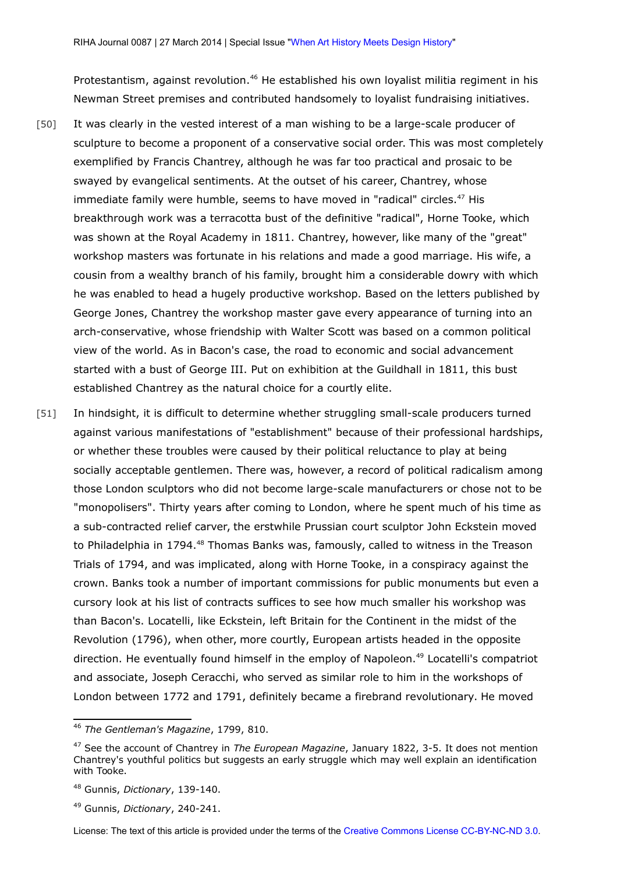Protestantism, against revolution.<sup>[46](#page-22-0)</sup> He established his own loyalist militia regiment in his Newman Street premises and contributed handsomely to loyalist fundraising initiatives.

- [50] It was clearly in the vested interest of a man wishing to be a large-scale producer of sculpture to become a proponent of a conservative social order. This was most completely exemplified by Francis Chantrey, although he was far too practical and prosaic to be swayed by evangelical sentiments. At the outset of his career, Chantrey, whose immediate family were humble, seems to have moved in "radical" circles.<sup>[47](#page-22-1)</sup> His breakthrough work was a terracotta bust of the definitive "radical", Horne Tooke, which was shown at the Royal Academy in 1811. Chantrey, however, like many of the "great" workshop masters was fortunate in his relations and made a good marriage. His wife, a cousin from a wealthy branch of his family, brought him a considerable dowry with which he was enabled to head a hugely productive workshop. Based on the letters published by George Jones, Chantrey the workshop master gave every appearance of turning into an arch-conservative, whose friendship with Walter Scott was based on a common political view of the world. As in Bacon's case, the road to economic and social advancement started with a bust of George III. Put on exhibition at the Guildhall in 1811, this bust established Chantrey as the natural choice for a courtly elite.
- [51] In hindsight, it is difficult to determine whether struggling small-scale producers turned against various manifestations of "establishment" because of their professional hardships, or whether these troubles were caused by their political reluctance to play at being socially acceptable gentlemen. There was, however, a record of political radicalism among those London sculptors who did not become large-scale manufacturers or chose not to be "monopolisers". Thirty years after coming to London, where he spent much of his time as a sub-contracted relief carver, the erstwhile Prussian court sculptor John Eckstein moved to Philadelphia in 1794.<sup>[48](#page-22-2)</sup> Thomas Banks was, famously, called to witness in the Treason Trials of 1794, and was implicated, along with Horne Tooke, in a conspiracy against the crown. Banks took a number of important commissions for public monuments but even a cursory look at his list of contracts suffices to see how much smaller his workshop was than Bacon's. Locatelli, like Eckstein, left Britain for the Continent in the midst of the Revolution (1796), when other, more courtly, European artists headed in the opposite direction. He eventually found himself in the employ of Napoleon.<sup>[49](#page-22-3)</sup> Locatelli's compatriot and associate, Joseph Ceracchi, who served as similar role to him in the workshops of London between 1772 and 1791, definitely became a firebrand revolutionary. He moved

<span id="page-22-0"></span><sup>46</sup> *The Gentleman's Magazine*, 1799, 810.

<span id="page-22-1"></span><sup>47</sup> See the account of Chantrey in *The European Magazine*, January 1822, 3-5. It does not mention Chantrey's youthful politics but suggests an early struggle which may well explain an identification with Tooke.

<span id="page-22-2"></span><sup>48</sup> Gunnis, *Dictionary*, 139-140.

<span id="page-22-3"></span><sup>49</sup> Gunnis, *Dictionary*, 240-241.